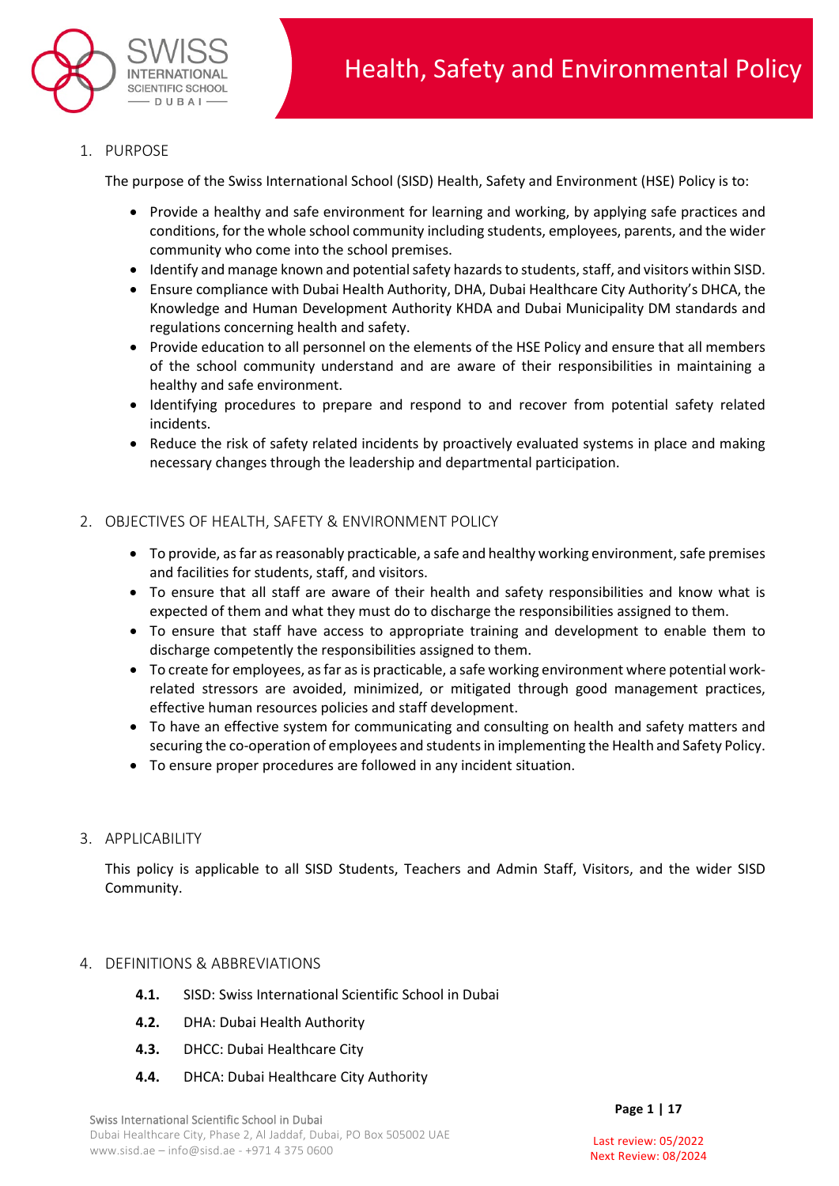

1. PURPOSE

The purpose of the Swiss International School (SISD) Health, Safety and Environment (HSE) Policy is to:

- Provide a healthy and safe environment for learning and working, by applying safe practices and conditions, for the whole school community including students, employees, parents, and the wider community who come into the school premises.
- Identify and manage known and potential safety hazards to students, staff, and visitors within SISD.
- Ensure compliance with Dubai Health Authority, DHA, Dubai Healthcare City Authority's DHCA, the Knowledge and Human Development Authority KHDA and Dubai Municipality DM standards and regulations concerning health and safety.
- Provide education to all personnel on the elements of the HSE Policy and ensure that all members of the school community understand and are aware of their responsibilities in maintaining a healthy and safe environment.
- Identifying procedures to prepare and respond to and recover from potential safety related incidents.
- Reduce the risk of safety related incidents by proactively evaluated systems in place and making necessary changes through the leadership and departmental participation.

## 2. OBJECTIVES OF HEALTH, SAFETY & ENVIRONMENT POLICY

- To provide, as far as reasonably practicable, a safe and healthy working environment, safe premises and facilities for students, staff, and visitors.
- To ensure that all staff are aware of their health and safety responsibilities and know what is expected of them and what they must do to discharge the responsibilities assigned to them.
- To ensure that staff have access to appropriate training and development to enable them to discharge competently the responsibilities assigned to them.
- To create for employees, as far as is practicable, a safe working environment where potential workrelated stressors are avoided, minimized, or mitigated through good management practices, effective human resources policies and staff development.
- To have an effective system for communicating and consulting on health and safety matters and securing the co-operation of employees and students in implementing the Health and Safety Policy.
- To ensure proper procedures are followed in any incident situation.
- 3. APPLICABILITY

This policy is applicable to all SISD Students, Teachers and Admin Staff, Visitors, and the wider SISD Community.

#### 4. DEFINITIONS & ABBREVIATIONS

- **4.1.** SISD: Swiss International Scientific School in Dubai
- **4.2.** DHA: Dubai Health Authority
- **4.3.** DHCC: Dubai Healthcare City
- **4.4.** DHCA: Dubai Healthcare City Authority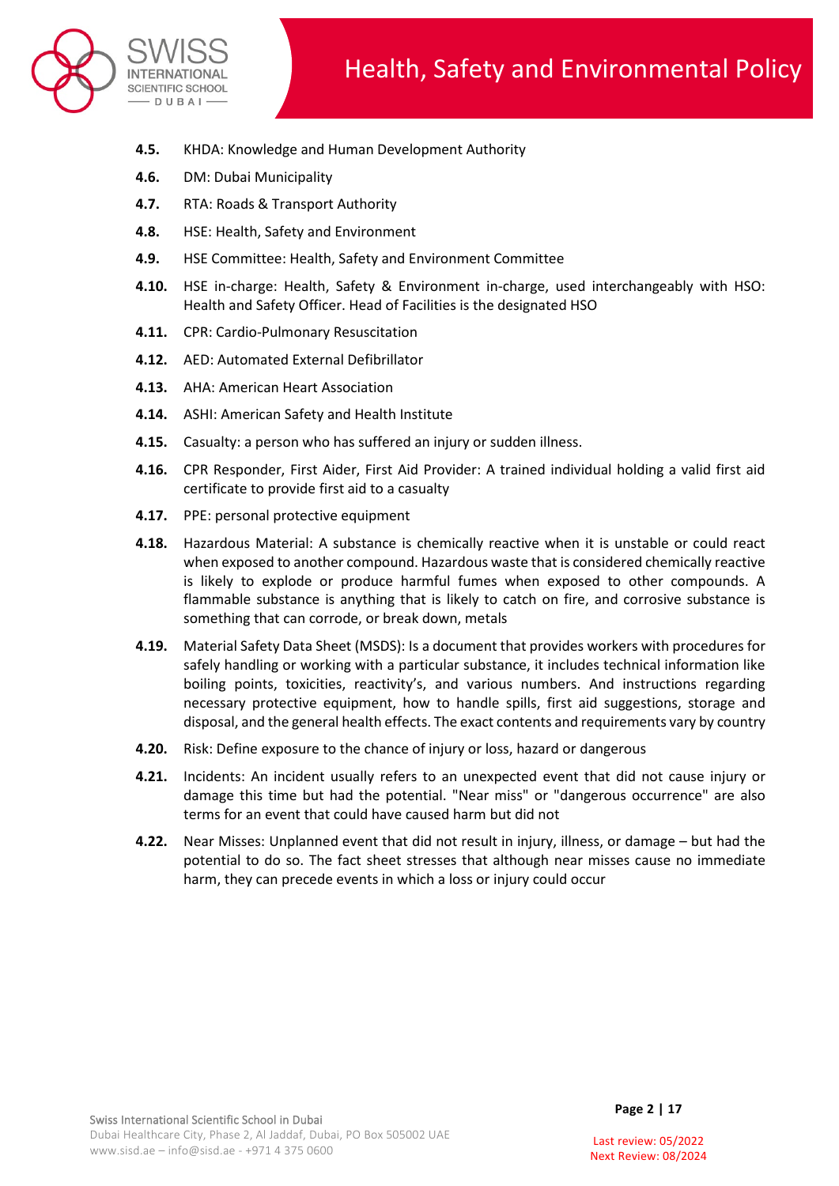

- **4.5.** KHDA: Knowledge and Human Development Authority
- **4.6.** DM: Dubai Municipality
- **4.7.** RTA: Roads & Transport Authority
- **4.8.** HSE: Health, Safety and Environment
- **4.9.** HSE Committee: Health, Safety and Environment Committee
- **4.10.** HSE in-charge: Health, Safety & Environment in-charge, used interchangeably with HSO: Health and Safety Officer. Head of Facilities is the designated HSO
- **4.11.** CPR: Cardio-Pulmonary Resuscitation
- **4.12.** AED: Automated External Defibrillator
- **4.13.** AHA: American Heart Association
- **4.14.** ASHI: American Safety and Health Institute
- **4.15.** Casualty: a person who has suffered an injury or sudden illness.
- **4.16.** CPR Responder, First Aider, First Aid Provider: A trained individual holding a valid first aid certificate to provide first aid to a casualty
- **4.17.** PPE: personal protective equipment
- **4.18.** Hazardous Material: A substance is chemically reactive when it is unstable or could react when exposed to another compound. Hazardous waste that is considered chemically reactive is likely to explode or produce harmful fumes when exposed to other compounds. A flammable substance is anything that is likely to catch on fire, and corrosive substance is something that can corrode, or break down, metals
- **4.19.** Material Safety Data Sheet (MSDS): Is a document that provides workers with procedures for safely handling or working with a particular substance, it includes technical information like boiling points, toxicities, reactivity's, and various numbers. And instructions regarding necessary protective equipment, how to handle spills, first aid suggestions, storage and disposal, and the general health effects. The exact contents and requirements vary by country
- **4.20.** Risk: Define exposure to the chance of injury or loss, hazard or dangerous
- **4.21.** Incidents: An incident usually refers to an unexpected event that did not cause injury or damage this time but had the potential. "Near miss" or "dangerous occurrence" are also terms for an event that could have caused harm but did not
- **4.22.** Near Misses: Unplanned event that did not result in injury, illness, or damage but had the potential to do so. The fact sheet stresses that although near misses cause no immediate harm, they can precede events in which a loss or injury could occur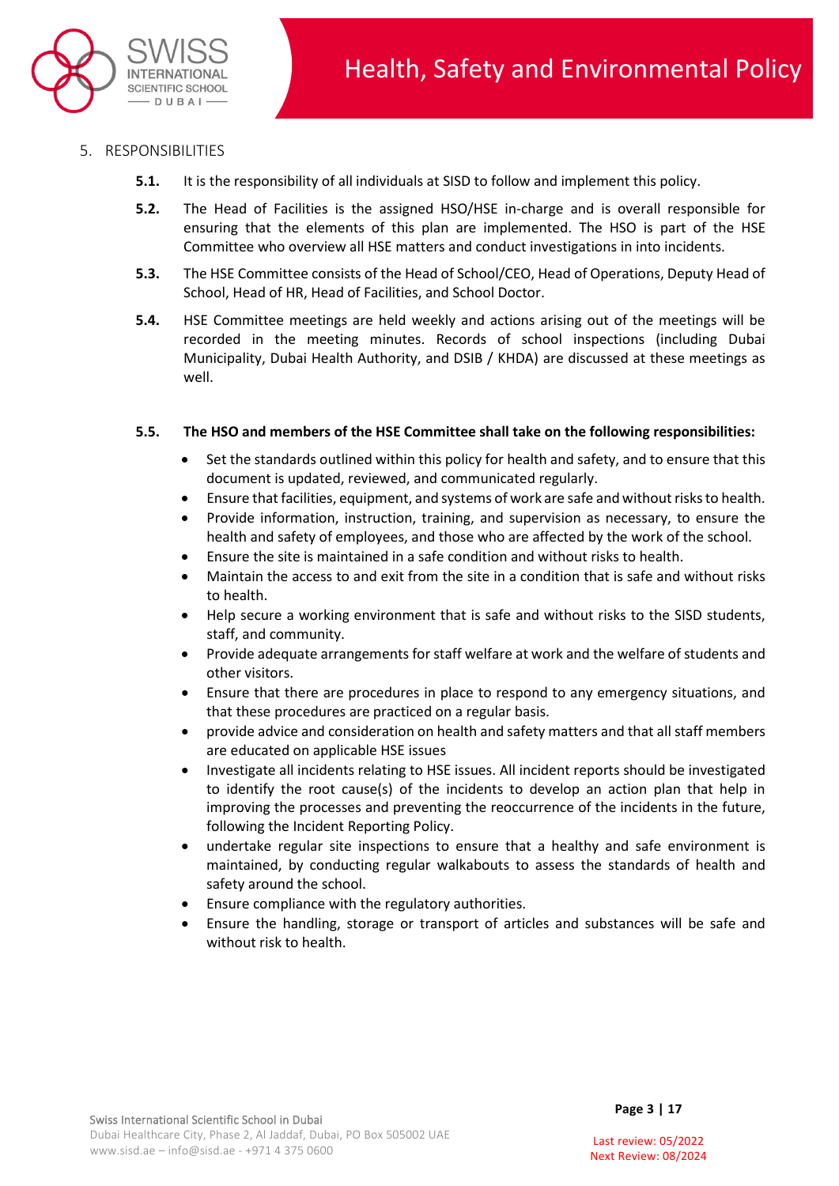

- 5. RESPONSIBILITIES
	- **5.1.** It is the responsibility of all individuals at SISD to follow and implement this policy.
	- **5.2.** The Head of Facilities is the assigned HSO/HSE in-charge and is overall responsible for ensuring that the elements of this plan are implemented. The HSO is part of the HSE Committee who overview all HSE matters and conduct investigations in into incidents.
	- **5.3.** The HSE Committee consists of the Head of School/CEO, Head of Operations, Deputy Head of School, Head of HR, Head of Facilities, and School Doctor.
	- **5.4.** HSE Committee meetings are held weekly and actions arising out of the meetings will be recorded in the meeting minutes. Records of school inspections (including Dubai Municipality, Dubai Health Authority, and DSIB / KHDA) are discussed at these meetings as well.

## **5.5. The HSO and members of the HSE Committee shall take on the following responsibilities:**

- Set the standards outlined within this policy for health and safety, and to ensure that this document is updated, reviewed, and communicated regularly.
- Ensure that facilities, equipment, and systems of work are safe and without risks to health.
- Provide information, instruction, training, and supervision as necessary, to ensure the health and safety of employees, and those who are affected by the work of the school.
- Ensure the site is maintained in a safe condition and without risks to health.
- Maintain the access to and exit from the site in a condition that is safe and without risks to health.
- Help secure a working environment that is safe and without risks to the SISD students, staff, and community.
- Provide adequate arrangements for staff welfare at work and the welfare of students and other visitors.
- Ensure that there are procedures in place to respond to any emergency situations, and that these procedures are practiced on a regular basis.
- provide advice and consideration on health and safety matters and that all staff members are educated on applicable HSE issues
- Investigate all incidents relating to HSE issues. All incident reports should be investigated to identify the root cause(s) of the incidents to develop an action plan that help in improving the processes and preventing the reoccurrence of the incidents in the future, following the Incident Reporting Policy.
- undertake regular site inspections to ensure that a healthy and safe environment is maintained, by conducting regular walkabouts to assess the standards of health and safety around the school.
- Ensure compliance with the regulatory authorities.
- Ensure the handling, storage or transport of articles and substances will be safe and without risk to health.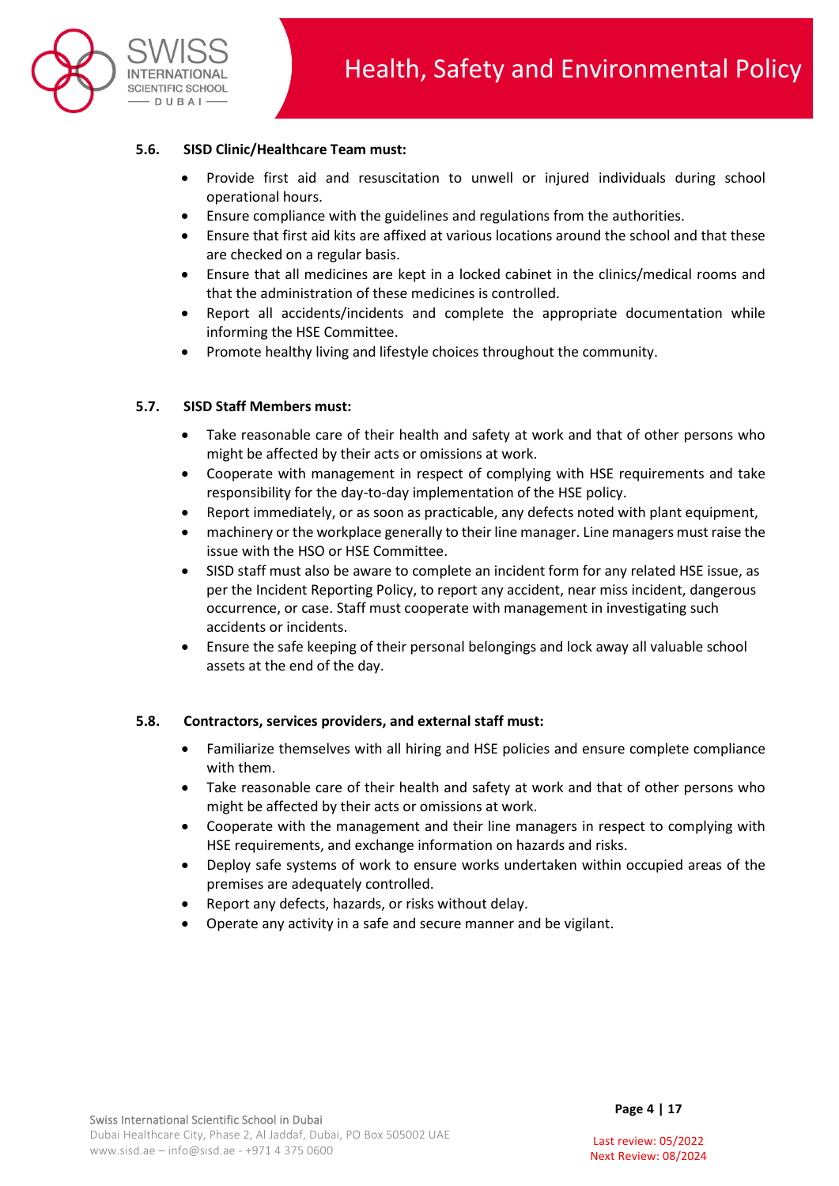

### **5.6. SISD Clinic/Healthcare Team must:**

- Provide first aid and resuscitation to unwell or injured individuals during school operational hours.
- Ensure compliance with the guidelines and regulations from the authorities.
- Ensure that first aid kits are affixed at various locations around the school and that these are checked on a regular basis.
- Ensure that all medicines are kept in a locked cabinet in the clinics/medical rooms and that the administration of these medicines is controlled.
- Report all accidents/incidents and complete the appropriate documentation while informing the HSE Committee.
- Promote healthy living and lifestyle choices throughout the community.

#### **5.7. SISD Staff Members must:**

- Take reasonable care of their health and safety at work and that of other persons who might be affected by their acts or omissions at work.
- Cooperate with management in respect of complying with HSE requirements and take responsibility for the day-to-day implementation of the HSE policy.
- Report immediately, or as soon as practicable, any defects noted with plant equipment,
- machinery or the workplace generally to their line manager. Line managers must raise the issue with the HSO or HSE Committee.
- SISD staff must also be aware to complete an incident form for any related HSE issue, as per the Incident Reporting Policy, to report any accident, near miss incident, dangerous occurrence, or case. Staff must cooperate with management in investigating such accidents or incidents.
- Ensure the safe keeping of their personal belongings and lock away all valuable school assets at the end of the day.

#### **5.8. Contractors, services providers, and external staff must:**

- Familiarize themselves with all hiring and HSE policies and ensure complete compliance with them.
- Take reasonable care of their health and safety at work and that of other persons who might be affected by their acts or omissions at work.
- Cooperate with the management and their line managers in respect to complying with HSE requirements, and exchange information on hazards and risks.
- Deploy safe systems of work to ensure works undertaken within occupied areas of the premises are adequately controlled.
- Report any defects, hazards, or risks without delay.
- Operate any activity in a safe and secure manner and be vigilant.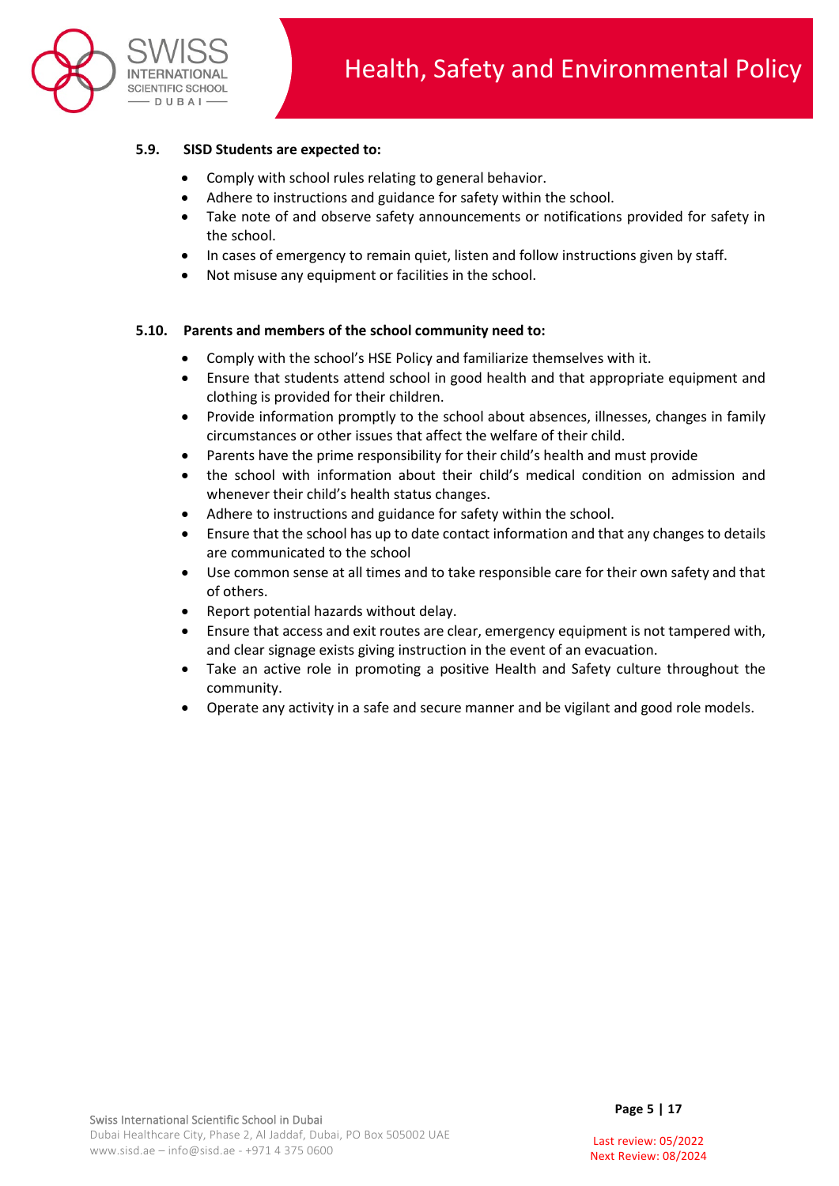

### **5.9. SISD Students are expected to:**

- Comply with school rules relating to general behavior.
- Adhere to instructions and guidance for safety within the school.
- Take note of and observe safety announcements or notifications provided for safety in the school.
- In cases of emergency to remain quiet, listen and follow instructions given by staff.
- Not misuse any equipment or facilities in the school.

#### **5.10. Parents and members of the school community need to:**

- Comply with the school's HSE Policy and familiarize themselves with it.
- Ensure that students attend school in good health and that appropriate equipment and clothing is provided for their children.
- Provide information promptly to the school about absences, illnesses, changes in family circumstances or other issues that affect the welfare of their child.
- Parents have the prime responsibility for their child's health and must provide
- the school with information about their child's medical condition on admission and whenever their child's health status changes.
- Adhere to instructions and guidance for safety within the school.
- Ensure that the school has up to date contact information and that any changes to details are communicated to the school
- Use common sense at all times and to take responsible care for their own safety and that of others.
- Report potential hazards without delay.
- Ensure that access and exit routes are clear, emergency equipment is not tampered with, and clear signage exists giving instruction in the event of an evacuation.
- Take an active role in promoting a positive Health and Safety culture throughout the community.
- Operate any activity in a safe and secure manner and be vigilant and good role models.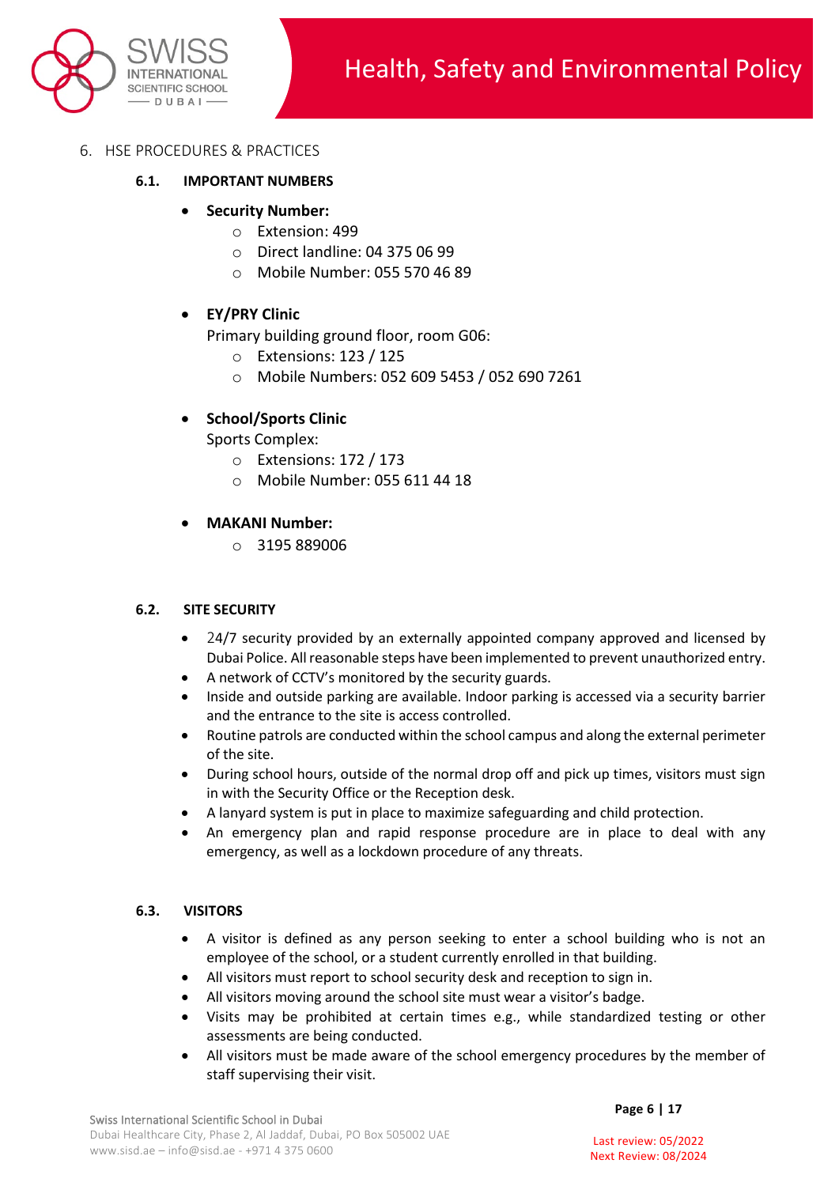

- 6. HSE PROCEDURES & PRACTICES
	- **6.1. IMPORTANT NUMBERS** 
		- **Security Number:**
			- o Extension: 499
			- o Direct landline: 04 375 06 99
			- o Mobile Number: 055 570 46 89

### • **EY/PRY Clinic**

Primary building ground floor, room G06:

- o Extensions: 123 / 125
- o Mobile Numbers: 052 609 5453 / 052 690 7261

## • **School/Sports Clinic**

Sports Complex:

- o Extensions: 172 / 173
- o Mobile Number: 055 611 44 18

### • **MAKANI Number:**

o 3195 889006

#### **6.2. SITE SECURITY**

- 24/7 security provided by an externally appointed company approved and licensed by Dubai Police. All reasonable steps have been implemented to prevent unauthorized entry.
- A network of CCTV's monitored by the security guards.
- Inside and outside parking are available. Indoor parking is accessed via a security barrier and the entrance to the site is access controlled.
- Routine patrols are conducted within the school campus and along the external perimeter of the site.
- During school hours, outside of the normal drop off and pick up times, visitors must sign in with the Security Office or the Reception desk.
- A lanyard system is put in place to maximize safeguarding and child protection.
- An emergency plan and rapid response procedure are in place to deal with any emergency, as well as a lockdown procedure of any threats.

#### **6.3. VISITORS**

- A visitor is defined as any person seeking to enter a school building who is not an employee of the school, or a student currently enrolled in that building.
- All visitors must report to school security desk and reception to sign in.
- All visitors moving around the school site must wear a visitor's badge.
- Visits may be prohibited at certain times e.g., while standardized testing or other assessments are being conducted.
- All visitors must be made aware of the school emergency procedures by the member of staff supervising their visit.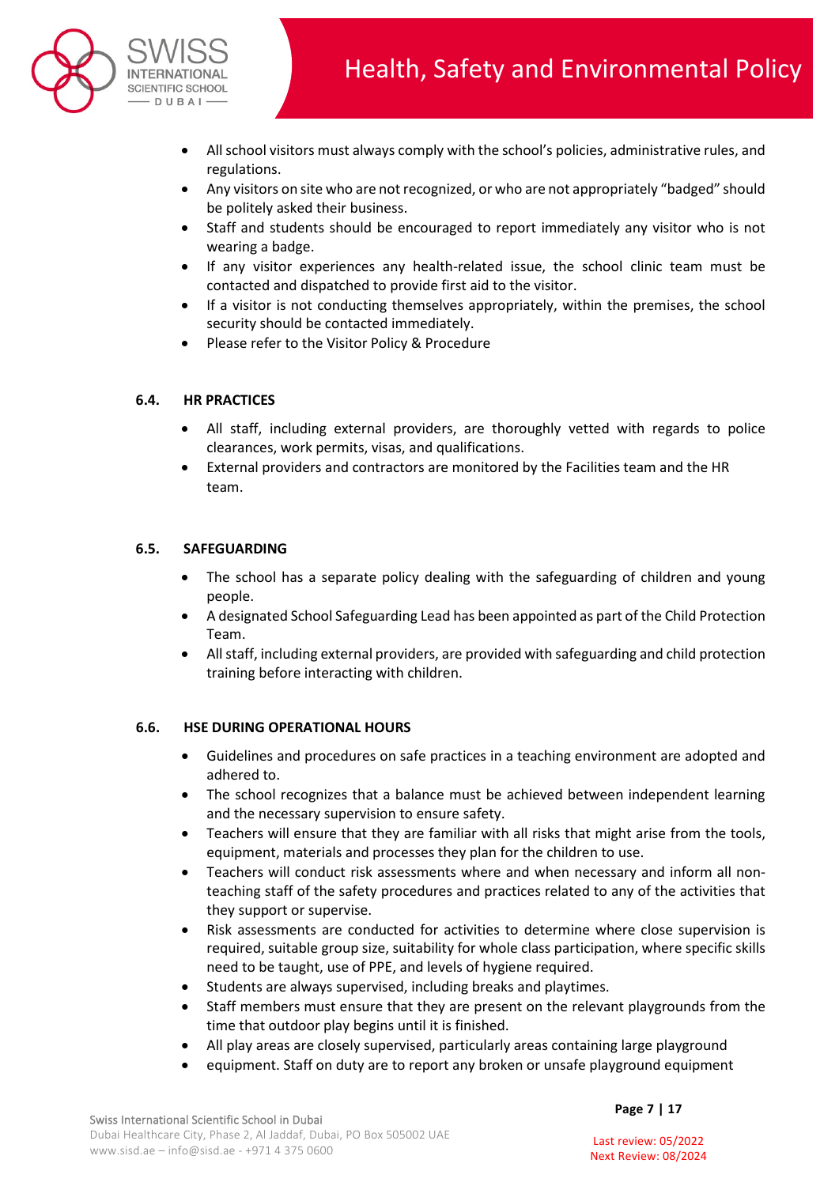

- All school visitors must always comply with the school's policies, administrative rules, and regulations.
- Any visitors on site who are not recognized, or who are not appropriately "badged" should be politely asked their business.
- Staff and students should be encouraged to report immediately any visitor who is not wearing a badge.
- If any visitor experiences any health-related issue, the school clinic team must be contacted and dispatched to provide first aid to the visitor.
- If a visitor is not conducting themselves appropriately, within the premises, the school security should be contacted immediately.
- Please refer to the Visitor Policy & Procedure

### **6.4. HR PRACTICES**

- All staff, including external providers, are thoroughly vetted with regards to police clearances, work permits, visas, and qualifications.
- External providers and contractors are monitored by the Facilities team and the HR team.

### **6.5. SAFEGUARDING**

- The school has a separate policy dealing with the safeguarding of children and young people.
- A designated School Safeguarding Lead has been appointed as part of the Child Protection Team.
- All staff, including external providers, are provided with safeguarding and child protection training before interacting with children.

## **6.6. HSE DURING OPERATIONAL HOURS**

- Guidelines and procedures on safe practices in a teaching environment are adopted and adhered to.
- The school recognizes that a balance must be achieved between independent learning and the necessary supervision to ensure safety.
- Teachers will ensure that they are familiar with all risks that might arise from the tools, equipment, materials and processes they plan for the children to use.
- Teachers will conduct risk assessments where and when necessary and inform all nonteaching staff of the safety procedures and practices related to any of the activities that they support or supervise.
- Risk assessments are conducted for activities to determine where close supervision is required, suitable group size, suitability for whole class participation, where specific skills need to be taught, use of PPE, and levels of hygiene required.
- Students are always supervised, including breaks and playtimes.
- Staff members must ensure that they are present on the relevant playgrounds from the time that outdoor play begins until it is finished.
- All play areas are closely supervised, particularly areas containing large playground
- equipment. Staff on duty are to report any broken or unsafe playground equipment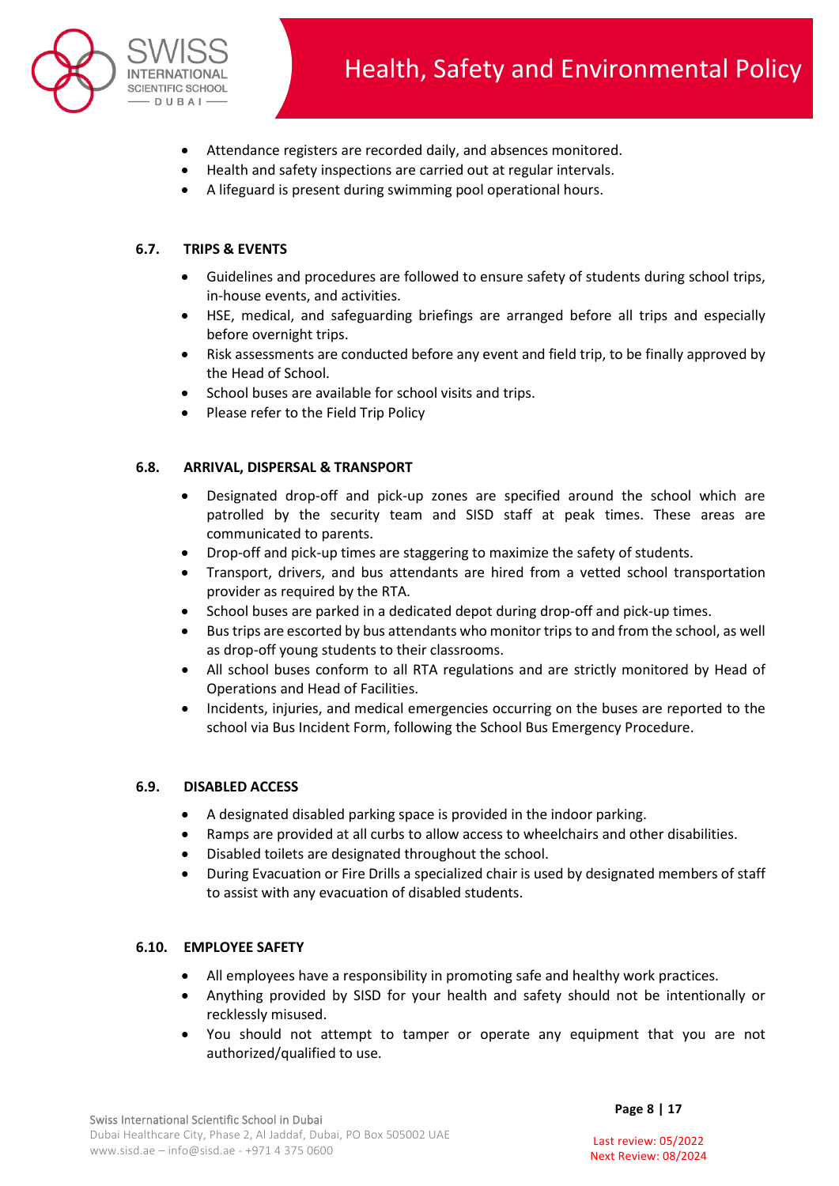

- Attendance registers are recorded daily, and absences monitored.
- Health and safety inspections are carried out at regular intervals.
- A lifeguard is present during swimming pool operational hours.

## **6.7. TRIPS & EVENTS**

- Guidelines and procedures are followed to ensure safety of students during school trips, in-house events, and activities.
- HSE, medical, and safeguarding briefings are arranged before all trips and especially before overnight trips.
- Risk assessments are conducted before any event and field trip, to be finally approved by the Head of School.
- School buses are available for school visits and trips.
- Please refer to the Field Trip Policy

#### **6.8. ARRIVAL, DISPERSAL & TRANSPORT**

- Designated drop-off and pick-up zones are specified around the school which are patrolled by the security team and SISD staff at peak times. These areas are communicated to parents.
- Drop-off and pick-up times are staggering to maximize the safety of students.
- Transport, drivers, and bus attendants are hired from a vetted school transportation provider as required by the RTA.
- School buses are parked in a dedicated depot during drop-off and pick-up times.
- Bus trips are escorted by bus attendants who monitor trips to and from the school, as well as drop-off young students to their classrooms.
- All school buses conform to all RTA regulations and are strictly monitored by Head of Operations and Head of Facilities.
- Incidents, injuries, and medical emergencies occurring on the buses are reported to the school via Bus Incident Form, following the School Bus Emergency Procedure.

#### **6.9. DISABLED ACCESS**

- A designated disabled parking space is provided in the indoor parking.
- Ramps are provided at all curbs to allow access to wheelchairs and other disabilities.
- Disabled toilets are designated throughout the school.
- During Evacuation or Fire Drills a specialized chair is used by designated members of staff to assist with any evacuation of disabled students.

#### **6.10. EMPLOYEE SAFETY**

- All employees have a responsibility in promoting safe and healthy work practices.
- Anything provided by SISD for your health and safety should not be intentionally or recklessly misused.
- You should not attempt to tamper or operate any equipment that you are not authorized/qualified to use.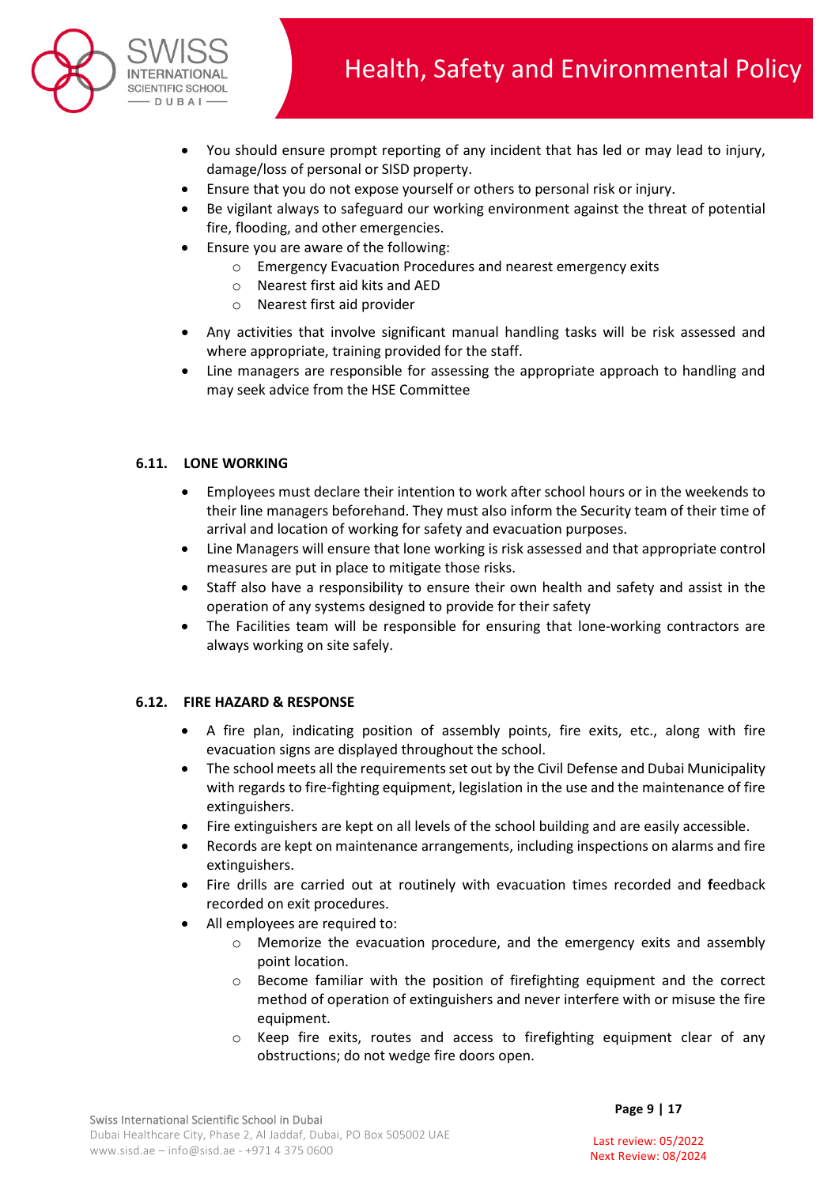

- You should ensure prompt reporting of any incident that has led or may lead to injury, damage/loss of personal or SISD property.
- Ensure that you do not expose yourself or others to personal risk or injury.
- Be vigilant always to safeguard our working environment against the threat of potential fire, flooding, and other emergencies.
- Ensure you are aware of the following:
	- o Emergency Evacuation Procedures and nearest emergency exits
	- o Nearest first aid kits and AED
	- o Nearest first aid provider
- Any activities that involve significant manual handling tasks will be risk assessed and where appropriate, training provided for the staff.
- Line managers are responsible for assessing the appropriate approach to handling and may seek advice from the HSE Committee

### **6.11. LONE WORKING**

- Employees must declare their intention to work after school hours or in the weekends to their line managers beforehand. They must also inform the Security team of their time of arrival and location of working for safety and evacuation purposes.
- Line Managers will ensure that lone working is risk assessed and that appropriate control measures are put in place to mitigate those risks.
- Staff also have a responsibility to ensure their own health and safety and assist in the operation of any systems designed to provide for their safety
- The Facilities team will be responsible for ensuring that lone-working contractors are always working on site safely.

#### **6.12. FIRE HAZARD & RESPONSE**

- A fire plan, indicating position of assembly points, fire exits, etc., along with fire evacuation signs are displayed throughout the school.
- The school meets all the requirements set out by the Civil Defense and Dubai Municipality with regards to fire-fighting equipment, legislation in the use and the maintenance of fire extinguishers.
- Fire extinguishers are kept on all levels of the school building and are easily accessible.
- Records are kept on maintenance arrangements, including inspections on alarms and fire extinguishers.
- Fire drills are carried out at routinely with evacuation times recorded and **f**eedback recorded on exit procedures.
- All employees are required to:
	- o Memorize the evacuation procedure, and the emergency exits and assembly point location.
	- $\circ$  Become familiar with the position of firefighting equipment and the correct method of operation of extinguishers and never interfere with or misuse the fire equipment.
	- o Keep fire exits, routes and access to firefighting equipment clear of any obstructions; do not wedge fire doors open.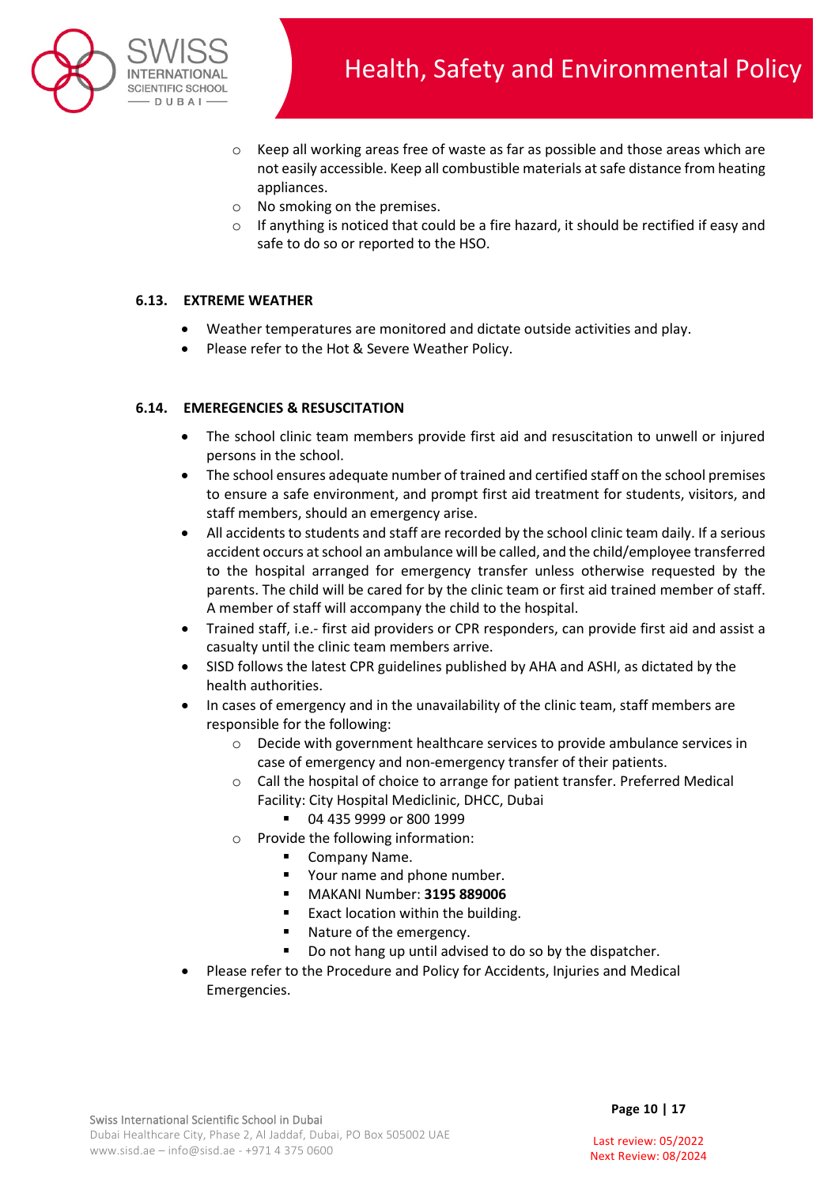

- $\circ$  Keep all working areas free of waste as far as possible and those areas which are not easily accessible. Keep all combustible materials at safe distance from heating appliances.
- o No smoking on the premises.
- $\circ$  If anything is noticed that could be a fire hazard, it should be rectified if easy and safe to do so or reported to the HSO.

### **6.13. EXTREME WEATHER**

- Weather temperatures are monitored and dictate outside activities and play.
- Please refer to the Hot & Severe Weather Policy.

#### **6.14. EMEREGENCIES & RESUSCITATION**

- The school clinic team members provide first aid and resuscitation to unwell or injured persons in the school.
- The school ensures adequate number of trained and certified staff on the school premises to ensure a safe environment, and prompt first aid treatment for students, visitors, and staff members, should an emergency arise.
- All accidents to students and staff are recorded by the school clinic team daily. If a serious accident occurs at school an ambulance will be called, and the child/employee transferred to the hospital arranged for emergency transfer unless otherwise requested by the parents. The child will be cared for by the clinic team or first aid trained member of staff. A member of staff will accompany the child to the hospital.
- Trained staff, i.e.- first aid providers or CPR responders, can provide first aid and assist a casualty until the clinic team members arrive.
- SISD follows the latest CPR guidelines published by AHA and ASHI, as dictated by the health authorities.
- In cases of emergency and in the unavailability of the clinic team, staff members are responsible for the following:
	- o Decide with government healthcare services to provide ambulance services in case of emergency and non-emergency transfer of their patients.
	- o Call the hospital of choice to arrange for patient transfer. Preferred Medical Facility: City Hospital Mediclinic, DHCC, Dubai
		- 04 435 9999 or 800 1999
	- o Provide the following information:
		- **E** Company Name.
		- Your name and phone number.
		- MAKANI Number: **3195 889006**
		- **Exact location within the building.**
		- Nature of the emergency.
		- Do not hang up until advised to do so by the dispatcher.
- Please refer to the Procedure and Policy for Accidents, Injuries and Medical Emergencies.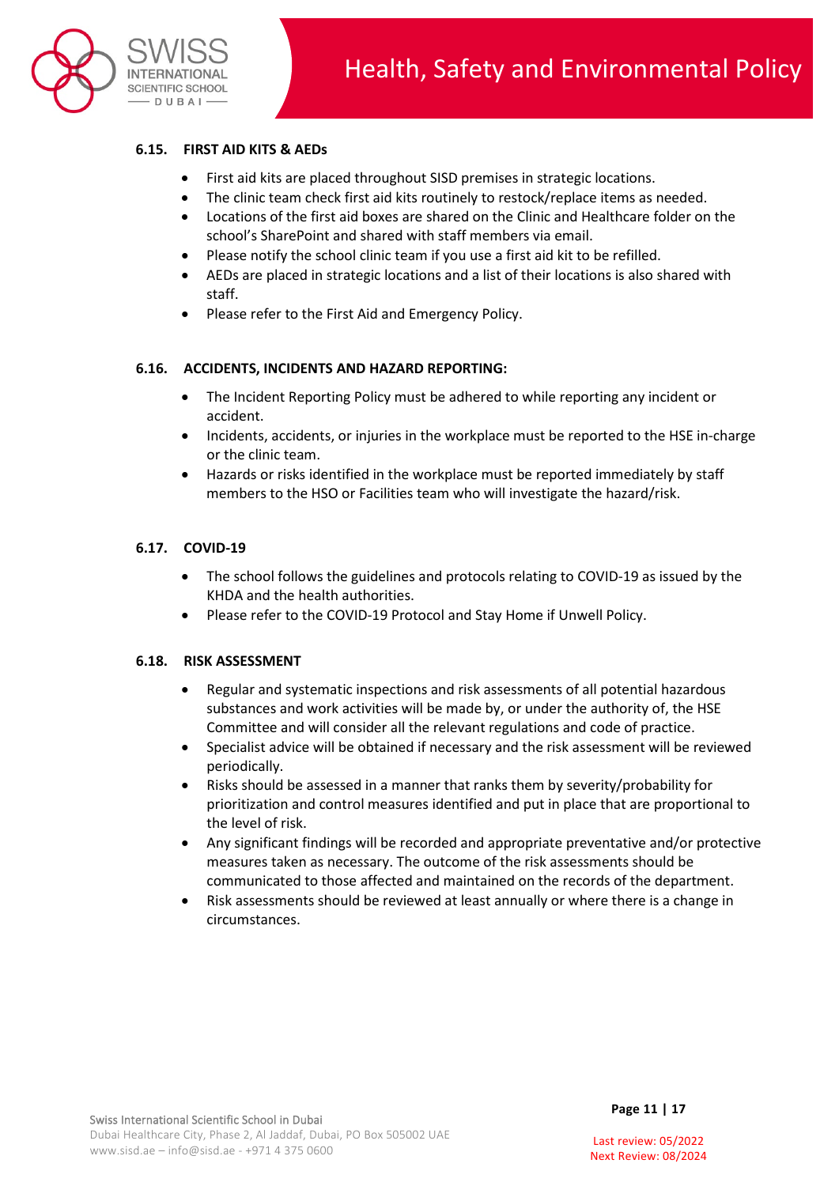

## **6.15. FIRST AID KITS & AEDs**

- First aid kits are placed throughout SISD premises in strategic locations.
- The clinic team check first aid kits routinely to restock/replace items as needed.
- Locations of the first aid boxes are shared on the Clinic and Healthcare folder on the school's SharePoint and shared with staff members via email.
- Please notify the school clinic team if you use a first aid kit to be refilled.
- AEDs are placed in strategic locations and a list of their locations is also shared with staff.
- Please refer to the First Aid and Emergency Policy.

#### **6.16. ACCIDENTS, INCIDENTS AND HAZARD REPORTING:**

- The Incident Reporting Policy must be adhered to while reporting any incident or accident.
- Incidents, accidents, or injuries in the workplace must be reported to the HSE in-charge or the clinic team.
- Hazards or risks identified in the workplace must be reported immediately by staff members to the HSO or Facilities team who will investigate the hazard/risk.

### **6.17. COVID-19**

- The school follows the guidelines and protocols relating to COVID-19 as issued by the KHDA and the health authorities.
- Please refer to the COVID-19 Protocol and Stay Home if Unwell Policy.

#### **6.18. RISK ASSESSMENT**

- Regular and systematic inspections and risk assessments of all potential hazardous substances and work activities will be made by, or under the authority of, the HSE Committee and will consider all the relevant regulations and code of practice.
- Specialist advice will be obtained if necessary and the risk assessment will be reviewed periodically.
- Risks should be assessed in a manner that ranks them by severity/probability for prioritization and control measures identified and put in place that are proportional to the level of risk.
- Any significant findings will be recorded and appropriate preventative and/or protective measures taken as necessary. The outcome of the risk assessments should be communicated to those affected and maintained on the records of the department.
- Risk assessments should be reviewed at least annually or where there is a change in circumstances.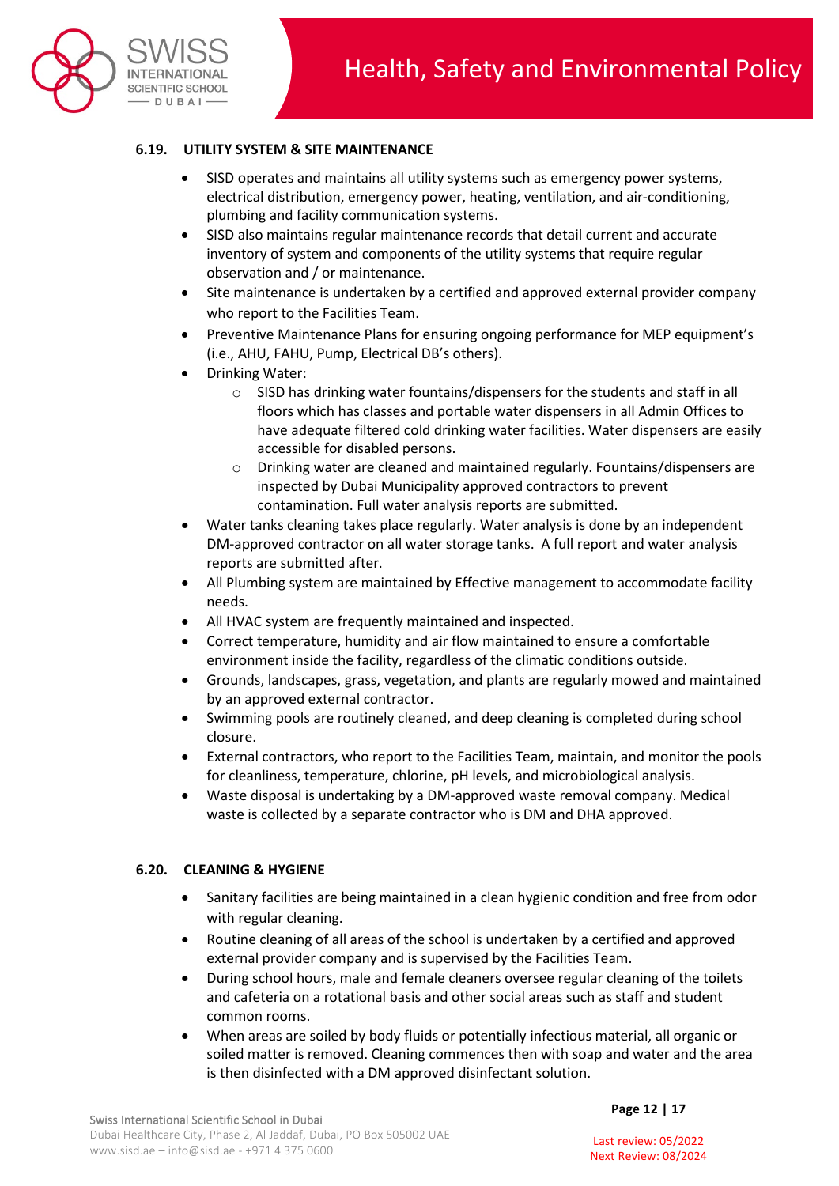

## **6.19. UTILITY SYSTEM & SITE MAINTENANCE**

- SISD operates and maintains all utility systems such as emergency power systems, electrical distribution, emergency power, heating, ventilation, and air-conditioning, plumbing and facility communication systems.
- SISD also maintains regular maintenance records that detail current and accurate inventory of system and components of the utility systems that require regular observation and / or maintenance.
- Site maintenance is undertaken by a certified and approved external provider company who report to the Facilities Team.
- Preventive Maintenance Plans for ensuring ongoing performance for MEP equipment's (i.e., AHU, FAHU, Pump, Electrical DB's others).
- Drinking Water:
	- o SISD has drinking water fountains/dispensers for the students and staff in all floors which has classes and portable water dispensers in all Admin Offices to have adequate filtered cold drinking water facilities. Water dispensers are easily accessible for disabled persons.
	- o Drinking water are cleaned and maintained regularly. Fountains/dispensers are inspected by Dubai Municipality approved contractors to prevent contamination. Full water analysis reports are submitted.
- Water tanks cleaning takes place regularly. Water analysis is done by an independent DM-approved contractor on all water storage tanks. A full report and water analysis reports are submitted after.
- All Plumbing system are maintained by Effective management to accommodate facility needs.
- All HVAC system are frequently maintained and inspected.
- Correct temperature, humidity and air flow maintained to ensure a comfortable environment inside the facility, regardless of the climatic conditions outside.
- Grounds, landscapes, grass, vegetation, and plants are regularly mowed and maintained by an approved external contractor.
- Swimming pools are routinely cleaned, and deep cleaning is completed during school closure.
- External contractors, who report to the Facilities Team, maintain, and monitor the pools for cleanliness, temperature, chlorine, pH levels, and microbiological analysis.
- Waste disposal is undertaking by a DM-approved waste removal company. Medical waste is collected by a separate contractor who is DM and DHA approved.

#### **6.20. CLEANING & HYGIENE**

- Sanitary facilities are being maintained in a clean hygienic condition and free from odor with regular cleaning.
- Routine cleaning of all areas of the school is undertaken by a certified and approved external provider company and is supervised by the Facilities Team.
- During school hours, male and female cleaners oversee regular cleaning of the toilets and cafeteria on a rotational basis and other social areas such as staff and student common rooms.
- When areas are soiled by body fluids or potentially infectious material, all organic or soiled matter is removed. Cleaning commences then with soap and water and the area is then disinfected with a DM approved disinfectant solution.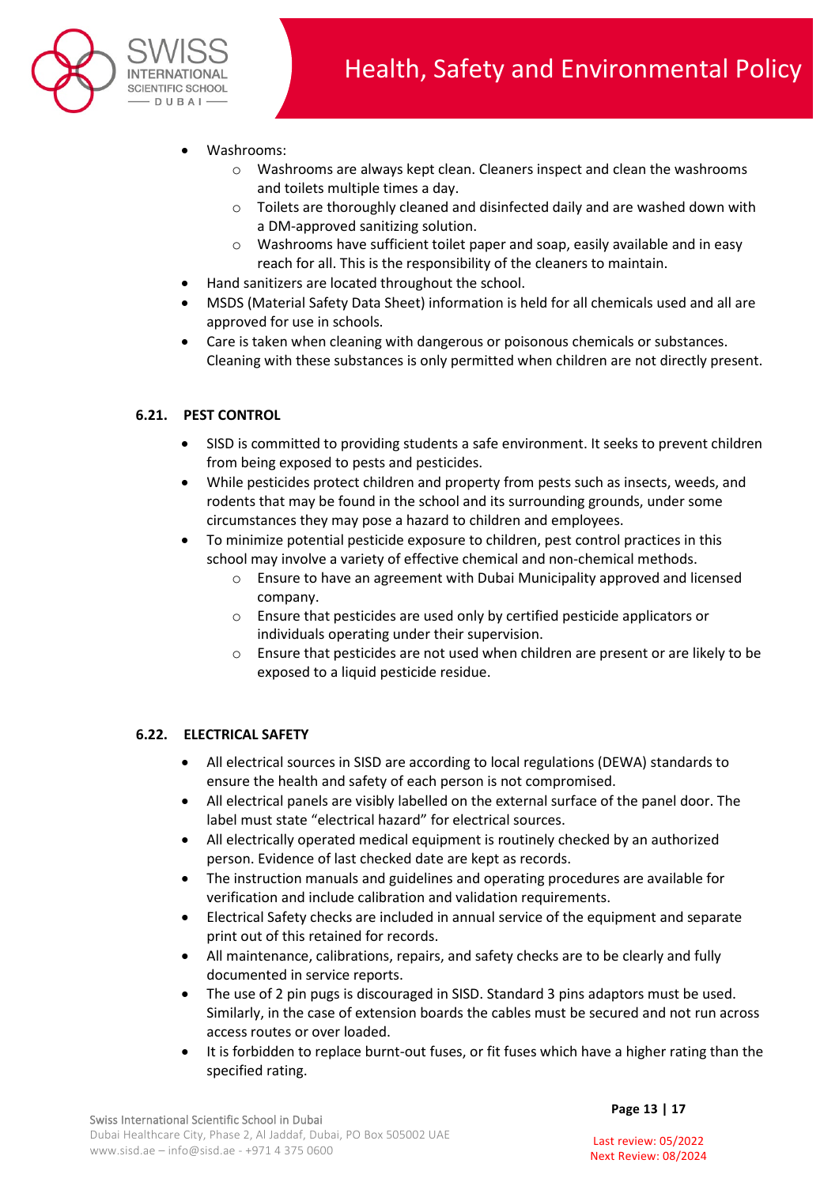

- Washrooms:
	- $\circ$  Washrooms are always kept clean. Cleaners inspect and clean the washrooms and toilets multiple times a day.
	- o Toilets are thoroughly cleaned and disinfected daily and are washed down with a DM-approved sanitizing solution.
	- o Washrooms have sufficient toilet paper and soap, easily available and in easy reach for all. This is the responsibility of the cleaners to maintain.
- Hand sanitizers are located throughout the school.
- MSDS (Material Safety Data Sheet) information is held for all chemicals used and all are approved for use in schools.
- Care is taken when cleaning with dangerous or poisonous chemicals or substances. Cleaning with these substances is only permitted when children are not directly present.

# **6.21. PEST CONTROL**

- SISD is committed to providing students a safe environment. It seeks to prevent children from being exposed to pests and pesticides.
- While pesticides protect children and property from pests such as insects, weeds, and rodents that may be found in the school and its surrounding grounds, under some circumstances they may pose a hazard to children and employees.
- To minimize potential pesticide exposure to children, pest control practices in this school may involve a variety of effective chemical and non-chemical methods.
	- o Ensure to have an agreement with Dubai Municipality approved and licensed company.
	- o Ensure that pesticides are used only by certified pesticide applicators or individuals operating under their supervision.
	- o Ensure that pesticides are not used when children are present or are likely to be exposed to a liquid pesticide residue.

## **6.22. ELECTRICAL SAFETY**

- All electrical sources in SISD are according to local regulations (DEWA) standards to ensure the health and safety of each person is not compromised.
- All electrical panels are visibly labelled on the external surface of the panel door. The label must state "electrical hazard" for electrical sources.
- All electrically operated medical equipment is routinely checked by an authorized person. Evidence of last checked date are kept as records.
- The instruction manuals and guidelines and operating procedures are available for verification and include calibration and validation requirements.
- Electrical Safety checks are included in annual service of the equipment and separate print out of this retained for records.
- All maintenance, calibrations, repairs, and safety checks are to be clearly and fully documented in service reports.
- The use of 2 pin pugs is discouraged in SISD. Standard 3 pins adaptors must be used. Similarly, in the case of extension boards the cables must be secured and not run across access routes or over loaded.
- It is forbidden to replace burnt-out fuses, or fit fuses which have a higher rating than the specified rating.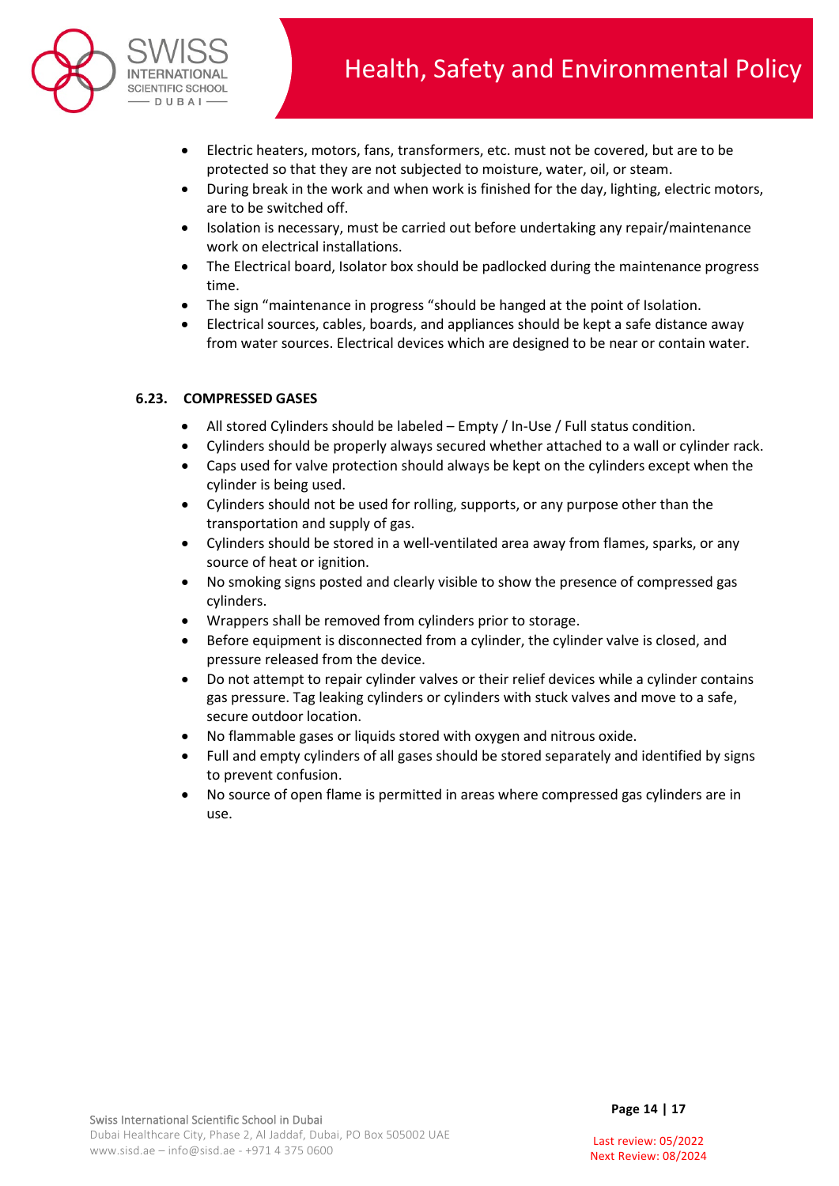

- Electric heaters, motors, fans, transformers, etc. must not be covered, but are to be protected so that they are not subjected to moisture, water, oil, or steam.
- During break in the work and when work is finished for the day, lighting, electric motors, are to be switched off.
- Isolation is necessary, must be carried out before undertaking any repair/maintenance work on electrical installations.
- The Electrical board, Isolator box should be padlocked during the maintenance progress time.
- The sign "maintenance in progress "should be hanged at the point of Isolation.
- Electrical sources, cables, boards, and appliances should be kept a safe distance away from water sources. Electrical devices which are designed to be near or contain water.

## **6.23. COMPRESSED GASES**

- All stored Cylinders should be labeled Empty / In-Use / Full status condition.
- Cylinders should be properly always secured whether attached to a wall or cylinder rack.
- Caps used for valve protection should always be kept on the cylinders except when the cylinder is being used.
- Cylinders should not be used for rolling, supports, or any purpose other than the transportation and supply of gas.
- Cylinders should be stored in a well-ventilated area away from flames, sparks, or any source of heat or ignition.
- No smoking signs posted and clearly visible to show the presence of compressed gas cylinders.
- Wrappers shall be removed from cylinders prior to storage.
- Before equipment is disconnected from a cylinder, the cylinder valve is closed, and pressure released from the device.
- Do not attempt to repair cylinder valves or their relief devices while a cylinder contains gas pressure. Tag leaking cylinders or cylinders with stuck valves and move to a safe, secure outdoor location.
- No flammable gases or liquids stored with oxygen and nitrous oxide.
- Full and empty cylinders of all gases should be stored separately and identified by signs to prevent confusion.
- No source of open flame is permitted in areas where compressed gas cylinders are in use.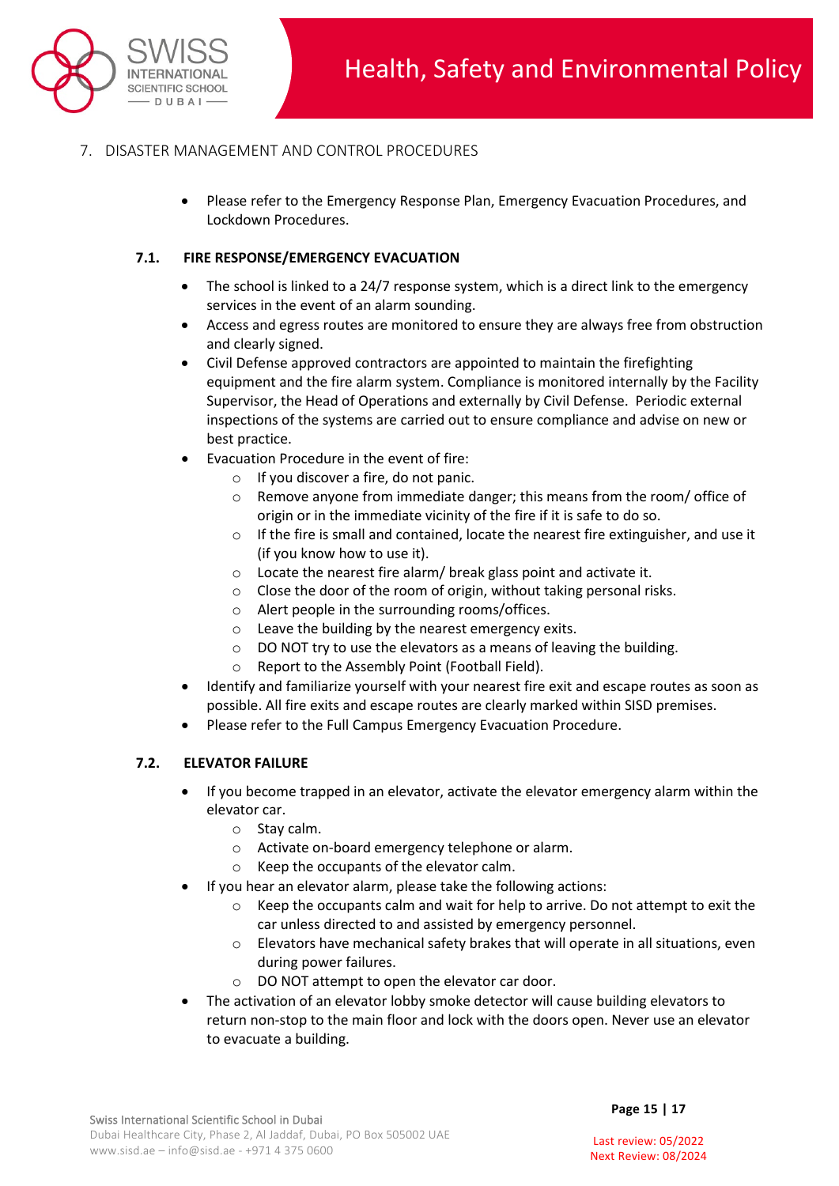

# 7. DISASTER MANAGEMENT AND CONTROL PROCEDURES

• Please refer to the Emergency Response Plan, Emergency Evacuation Procedures, and Lockdown Procedures.

## **7.1. FIRE RESPONSE/EMERGENCY EVACUATION**

- The school is linked to a 24/7 response system, which is a direct link to the emergency services in the event of an alarm sounding.
- Access and egress routes are monitored to ensure they are always free from obstruction and clearly signed.
- Civil Defense approved contractors are appointed to maintain the firefighting equipment and the fire alarm system. Compliance is monitored internally by the Facility Supervisor, the Head of Operations and externally by Civil Defense. Periodic external inspections of the systems are carried out to ensure compliance and advise on new or best practice.
- Evacuation Procedure in the event of fire:
	- o If you discover a fire, do not panic.
	- $\circ$  Remove anyone from immediate danger; this means from the room/ office of origin or in the immediate vicinity of the fire if it is safe to do so.
	- $\circ$  If the fire is small and contained, locate the nearest fire extinguisher, and use it (if you know how to use it).
	- o Locate the nearest fire alarm/ break glass point and activate it.
	- o Close the door of the room of origin, without taking personal risks.
	- o Alert people in the surrounding rooms/offices.
	- o Leave the building by the nearest emergency exits.
	- $\circ$  DO NOT try to use the elevators as a means of leaving the building.
	- o Report to the Assembly Point (Football Field).
- Identify and familiarize yourself with your nearest fire exit and escape routes as soon as possible. All fire exits and escape routes are clearly marked within SISD premises.
- Please refer to the Full Campus Emergency Evacuation Procedure.

#### **7.2. ELEVATOR FAILURE**

- If you become trapped in an elevator, activate the elevator emergency alarm within the elevator car.
	- o Stay calm.
	- o Activate on-board emergency telephone or alarm.
	- o Keep the occupants of the elevator calm.
	- If you hear an elevator alarm, please take the following actions:
		- $\circ$  Keep the occupants calm and wait for help to arrive. Do not attempt to exit the car unless directed to and assisted by emergency personnel.
		- $\circ$  Elevators have mechanical safety brakes that will operate in all situations, even during power failures.
		- o DO NOT attempt to open the elevator car door.
- The activation of an elevator lobby smoke detector will cause building elevators to return non-stop to the main floor and lock with the doors open. Never use an elevator to evacuate a building.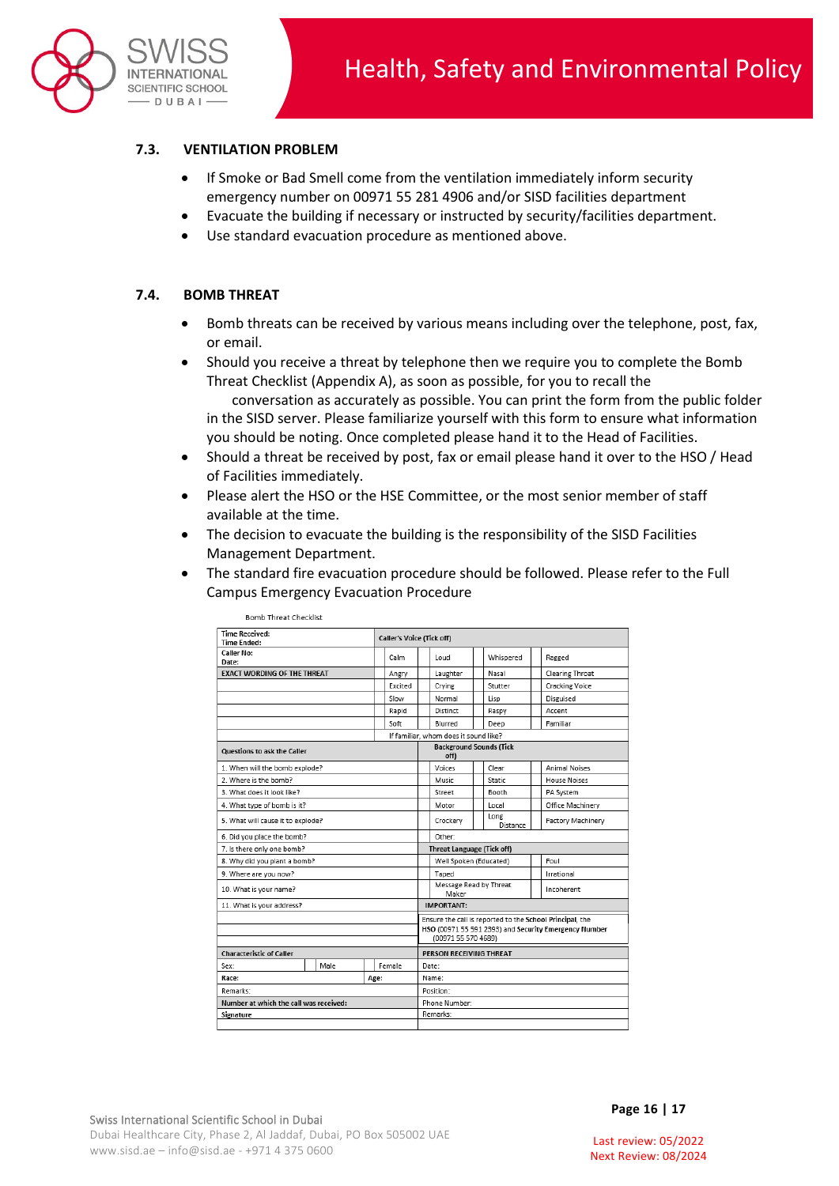

## **7.3. VENTILATION PROBLEM**

- If Smoke or Bad Smell come from the ventilation immediately inform security emergency number on 00971 55 281 4906 and/or SISD facilities department
- Evacuate the building if necessary or instructed by security/facilities department.
- Use standard evacuation procedure as mentioned above.

#### **7.4. BOMB THREAT**

- Bomb threats can be received by various means including over the telephone, post, fax, or email.
- Should you receive a threat by telephone then we require you to complete the Bomb Threat Checklist (Appendix A), as soon as possible, for you to recall the conversation as accurately as possible. You can print the form from the public folder in the SISD server. Please familiarize yourself with this form to ensure what information you should be noting. Once completed please hand it to the Head of Facilities.
- Should a threat be received by post, fax or email please hand it over to the HSO / Head of Facilities immediately.
- Please alert the HSO or the HSE Committee, or the most senior member of staff available at the time.
- The decision to evacuate the building is the responsibility of the SISD Facilities Management Department.
- The standard fire evacuation procedure should be followed. Please refer to the Full Campus Emergency Evacuation Procedure

| DUINU THEAL CHECKISL                        |      |  |                 |                                                          |                                       |  |                  |  |                          |  |
|---------------------------------------------|------|--|-----------------|----------------------------------------------------------|---------------------------------------|--|------------------|--|--------------------------|--|
| <b>Time Received:</b><br><b>Time Ended:</b> |      |  |                 | <b>Caller's Voice (Tick off)</b>                         |                                       |  |                  |  |                          |  |
|                                             |      |  |                 |                                                          |                                       |  |                  |  |                          |  |
| <b>Caller No:</b><br>Date:                  |      |  | Calm            |                                                          | Loud                                  |  | Whispered        |  | Ragged                   |  |
| <b>EXACT WORDING OF THE THREAT</b>          |      |  | Angry           |                                                          | Laughter                              |  | Nasal            |  | <b>Clearing Throat</b>   |  |
|                                             |      |  | Excited         |                                                          | Crying                                |  | Stutter          |  | <b>Cracking Voice</b>    |  |
|                                             |      |  | Slow            |                                                          | Normal                                |  | Lisp             |  | Disguised                |  |
|                                             |      |  | Rapid           |                                                          | Distinct                              |  | Raspy            |  | Accent                   |  |
|                                             |      |  | Soft            |                                                          | Blurred                               |  | Deep             |  | Familiar                 |  |
|                                             |      |  |                 |                                                          | If familiar, whom does it sound like? |  |                  |  |                          |  |
| Questions to ask the Caller                 |      |  |                 | <b>Background Sounds (Tick</b><br>off)                   |                                       |  |                  |  |                          |  |
| 1. When will the bomb explode?              |      |  |                 |                                                          | Voices                                |  | Clear            |  | <b>Animal Noises</b>     |  |
| 2. Where is the bomb?                       |      |  |                 |                                                          | Music                                 |  | Static           |  | <b>House Noises</b>      |  |
| 3. What does it look like?                  |      |  |                 |                                                          | Street                                |  | Booth            |  | PA System                |  |
| 4. What type of bomb is it?                 |      |  |                 |                                                          | Motor                                 |  | Local            |  | Office Machinery         |  |
| 5. What will cause it to explode?           |      |  |                 |                                                          | Crockery                              |  | Long<br>Distance |  | <b>Factory Machinery</b> |  |
| 6. Did you place the bomb?                  |      |  |                 | Other:                                                   |                                       |  |                  |  |                          |  |
| 7. Is there only one bomb?                  |      |  |                 | <b>Threat Language (Tick off)</b>                        |                                       |  |                  |  |                          |  |
| 8. Why did you plant a bomb?                |      |  |                 |                                                          | Well Spoken (Educated)                |  |                  |  | Foul                     |  |
| 9. Where are you now?                       |      |  |                 |                                                          | Taped                                 |  |                  |  | Irrational               |  |
| 10. What is your name?                      |      |  |                 |                                                          | Message Read by Threat<br>Maker       |  |                  |  | Incoherent               |  |
| 11. What is your address?                   |      |  |                 | <b>IMPORTANT:</b>                                        |                                       |  |                  |  |                          |  |
|                                             |      |  |                 | Ensure the call is reported to the School Principal, the |                                       |  |                  |  |                          |  |
|                                             |      |  |                 | HSO (00971 55 591 2393) and Security Emergency Number    |                                       |  |                  |  |                          |  |
|                                             |      |  |                 | (00971 55 570 4689)                                      |                                       |  |                  |  |                          |  |
| <b>Characteristic of Caller</b>             |      |  |                 | PERSON RECEIVING THREAT                                  |                                       |  |                  |  |                          |  |
| Sex:                                        | Male |  | Female<br>Date: |                                                          |                                       |  |                  |  |                          |  |
| Race:<br>Age:                               |      |  |                 | Name:                                                    |                                       |  |                  |  |                          |  |
| Remarks:                                    |      |  |                 | Position:                                                |                                       |  |                  |  |                          |  |
| Number at which the call was received:      |      |  |                 |                                                          | Phone Number:                         |  |                  |  |                          |  |
| Signature                                   |      |  |                 | Remarks:                                                 |                                       |  |                  |  |                          |  |
|                                             |      |  |                 |                                                          |                                       |  |                  |  |                          |  |

and the company of the company